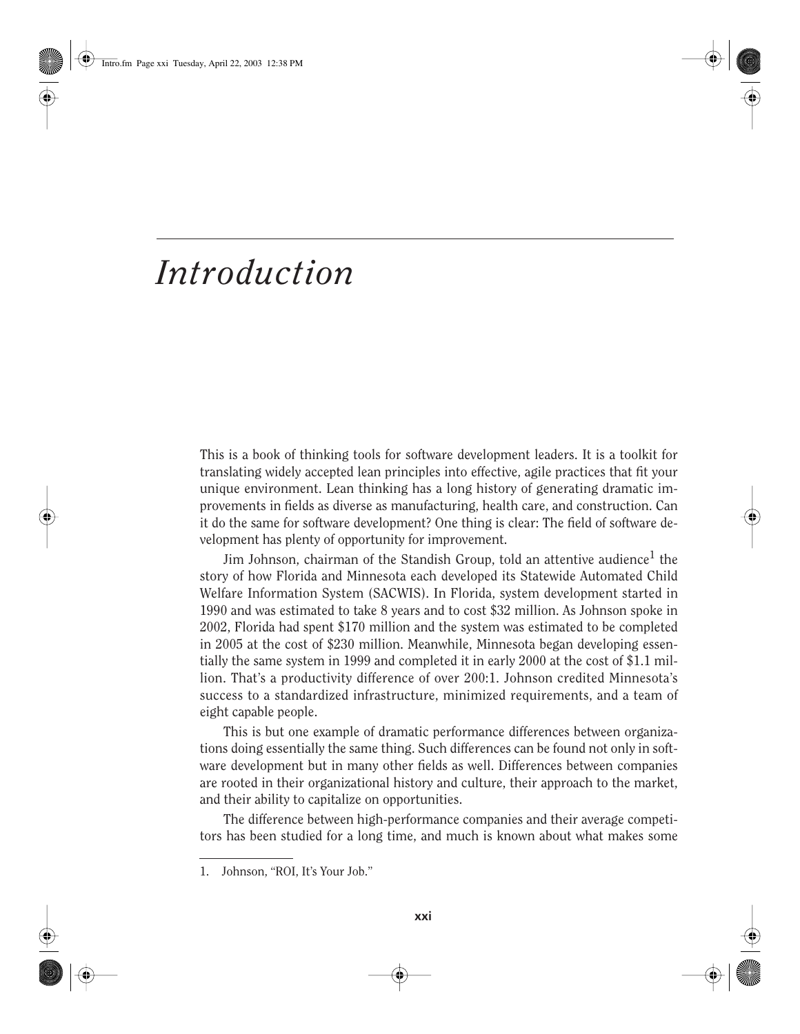# *Introduction*

This is a book of thinking tools for software development leaders. It is a toolkit for translating widely accepted lean principles into effective, agile practices that fit your unique environment. Lean thinking has a long history of generating dramatic improvements in fields as diverse as manufacturing, health care, and construction. Can it do the same for software development? One thing is clear: The field of software development has plenty of opportunity for improvement.

Jim Johnson, chairman of the Standish Group, told an attentive audience<sup>1</sup> the story of how Florida and Minnesota each developed its Statewide Automated Child Welfare Information System (SACWIS). In Florida, system development started in 1990 and was estimated to take 8 years and to cost \$32 million. As Johnson spoke in 2002, Florida had spent \$170 million and the system was estimated to be completed in 2005 at the cost of \$230 million. Meanwhile, Minnesota began developing essentially the same system in 1999 and completed it in early 2000 at the cost of \$1.1 million. That's a productivity difference of over 200:1. Johnson credited Minnesota's success to a standardized infrastructure, minimized requirements, and a team of eight capable people.

This is but one example of dramatic performance differences between organizations doing essentially the same thing. Such differences can be found not only in software development but in many other fields as well. Differences between companies are rooted in their organizational history and culture, their approach to the market, and their ability to capitalize on opportunities.

The difference between high-performance companies and their average competitors has been studied for a long time, and much is known about what makes some

<sup>1.</sup> Johnson, "ROI, It's Your Job."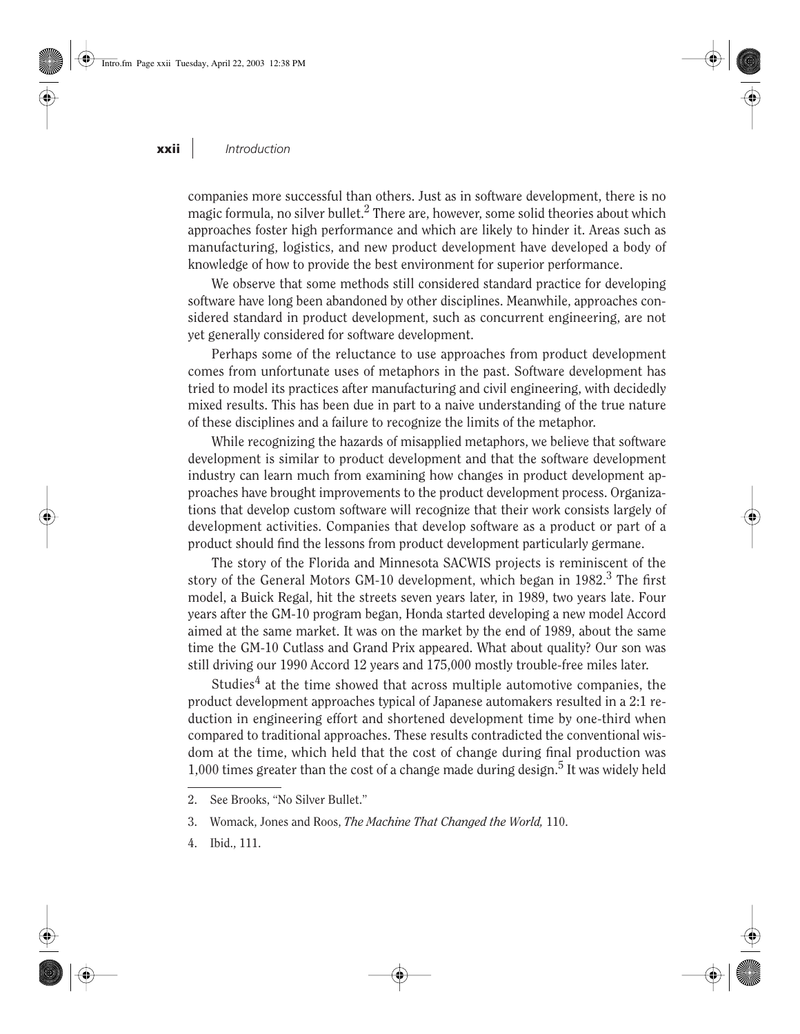### **xxii** *Introduction*

companies more successful than others. Just as in software development, there is no magic formula, no silver bullet. $<sup>2</sup>$  There are, however, some solid theories about which</sup> approaches foster high performance and which are likely to hinder it. Areas such as manufacturing, logistics, and new product development have developed a body of knowledge of how to provide the best environment for superior performance.

We observe that some methods still considered standard practice for developing software have long been abandoned by other disciplines. Meanwhile, approaches considered standard in product development, such as concurrent engineering, are not yet generally considered for software development.

Perhaps some of the reluctance to use approaches from product development comes from unfortunate uses of metaphors in the past. Software development has tried to model its practices after manufacturing and civil engineering, with decidedly mixed results. This has been due in part to a naive understanding of the true nature of these disciplines and a failure to recognize the limits of the metaphor.

While recognizing the hazards of misapplied metaphors, we believe that software development is similar to product development and that the software development industry can learn much from examining how changes in product development approaches have brought improvements to the product development process. Organizations that develop custom software will recognize that their work consists largely of development activities. Companies that develop software as a product or part of a product should find the lessons from product development particularly germane.

The story of the Florida and Minnesota SACWIS projects is reminiscent of the story of the General Motors GM-10 development, which began in  $1982<sup>3</sup>$ . The first model, a Buick Regal, hit the streets seven years later, in 1989, two years late. Four years after the GM-10 program began, Honda started developing a new model Accord aimed at the same market. It was on the market by the end of 1989, about the same time the GM-10 Cutlass and Grand Prix appeared. What about quality? Our son was still driving our 1990 Accord 12 years and 175,000 mostly trouble-free miles later.

Studies $<sup>4</sup>$  at the time showed that across multiple automotive companies, the</sup> product development approaches typical of Japanese automakers resulted in a 2:1 reduction in engineering effort and shortened development time by one-third when compared to traditional approaches. These results contradicted the conventional wisdom at the time, which held that the cost of change during final production was 1,000 times greater than the cost of a change made during design.<sup>5</sup> It was widely held

<sup>2.</sup> See Brooks, "No Silver Bullet."

<sup>3.</sup> Womack, Jones and Roos, *The Machine That Changed the World,* 110.

<sup>4.</sup> Ibid., 111.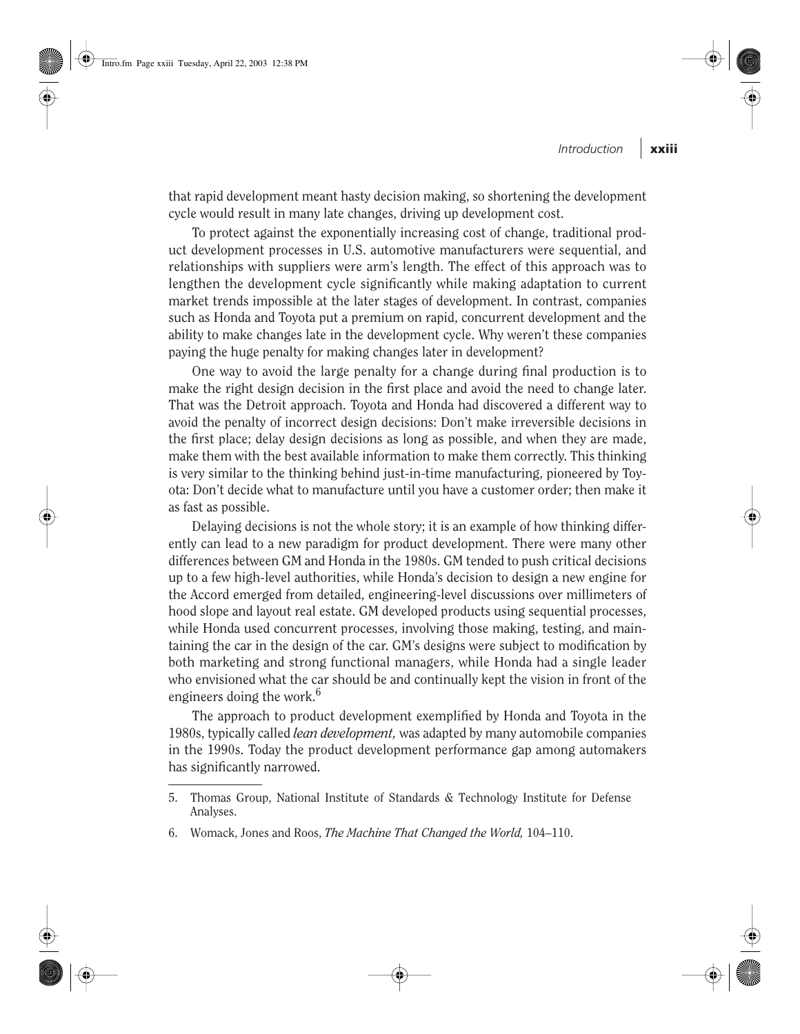*Introduction* **xxiii**

that rapid development meant hasty decision making, so shortening the development cycle would result in many late changes, driving up development cost.

To protect against the exponentially increasing cost of change, traditional product development processes in U.S. automotive manufacturers were sequential, and relationships with suppliers were arm's length. The effect of this approach was to lengthen the development cycle significantly while making adaptation to current market trends impossible at the later stages of development. In contrast, companies such as Honda and Toyota put a premium on rapid, concurrent development and the ability to make changes late in the development cycle. Why weren't these companies paying the huge penalty for making changes later in development?

One way to avoid the large penalty for a change during final production is to make the right design decision in the first place and avoid the need to change later. That was the Detroit approach. Toyota and Honda had discovered a different way to avoid the penalty of incorrect design decisions: Don't make irreversible decisions in the first place; delay design decisions as long as possible, and when they are made, make them with the best available information to make them correctly. This thinking is very similar to the thinking behind just-in-time manufacturing, pioneered by Toyota: Don't decide what to manufacture until you have a customer order; then make it as fast as possible.

Delaying decisions is not the whole story; it is an example of how thinking differently can lead to a new paradigm for product development. There were many other differences between GM and Honda in the 1980s. GM tended to push critical decisions up to a few high-level authorities, while Honda's decision to design a new engine for the Accord emerged from detailed, engineering-level discussions over millimeters of hood slope and layout real estate. GM developed products using sequential processes, while Honda used concurrent processes, involving those making, testing, and maintaining the car in the design of the car. GM's designs were subject to modification by both marketing and strong functional managers, while Honda had a single leader who envisioned what the car should be and continually kept the vision in front of the engineers doing the work.<sup>6</sup>

The approach to product development exemplified by Honda and Toyota in the 1980s, typically called *lean development,* was adapted by many automobile companies in the 1990s. Today the product development performance gap among automakers has significantly narrowed.

<sup>5.</sup> Thomas Group, National Institute of Standards & Technology Institute for Defense Analyses.

<sup>6.</sup> Womack, Jones and Roos, *The Machine That Changed the World,* 104–110.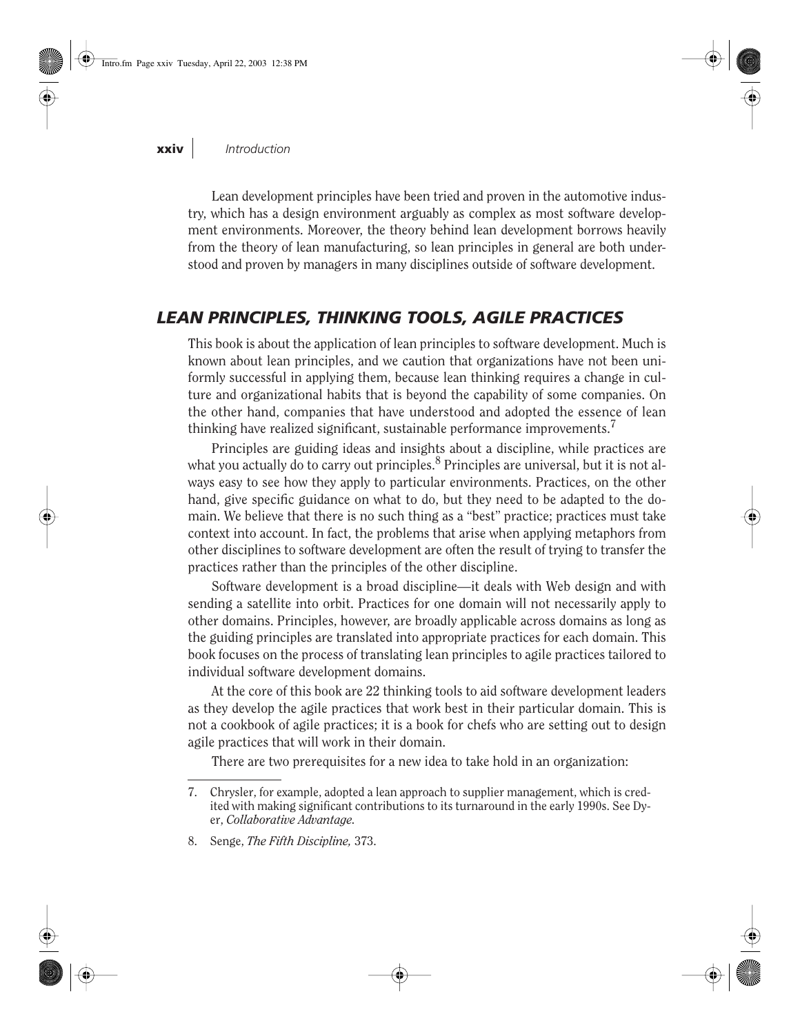#### **xxiv** *Introduction*

Lean development principles have been tried and proven in the automotive industry, which has a design environment arguably as complex as most software development environments. Moreover, the theory behind lean development borrows heavily from the theory of lean manufacturing, so lean principles in general are both understood and proven by managers in many disciplines outside of software development.

## *LEAN PRINCIPLES, THINKING TOOLS, AGILE PRACTICES*

This book is about the application of lean principles to software development. Much is known about lean principles, and we caution that organizations have not been uniformly successful in applying them, because lean thinking requires a change in culture and organizational habits that is beyond the capability of some companies. On the other hand, companies that have understood and adopted the essence of lean thinking have realized significant, sustainable performance improvements.<sup>7</sup>

Principles are guiding ideas and insights about a discipline, while practices are what you actually do to carry out principles.<sup>8</sup> Principles are universal, but it is not always easy to see how they apply to particular environments. Practices, on the other hand, give specific guidance on what to do, but they need to be adapted to the domain. We believe that there is no such thing as a "best" practice; practices must take context into account. In fact, the problems that arise when applying metaphors from other disciplines to software development are often the result of trying to transfer the practices rather than the principles of the other discipline.

Software development is a broad discipline—it deals with Web design and with sending a satellite into orbit. Practices for one domain will not necessarily apply to other domains. Principles, however, are broadly applicable across domains as long as the guiding principles are translated into appropriate practices for each domain. This book focuses on the process of translating lean principles to agile practices tailored to individual software development domains.

At the core of this book are 22 thinking tools to aid software development leaders as they develop the agile practices that work best in their particular domain. This is not a cookbook of agile practices; it is a book for chefs who are setting out to design agile practices that will work in their domain.

There are two prerequisites for a new idea to take hold in an organization:

8. Senge, *The Fifth Discipline,* 373.

<sup>7.</sup> Chrysler, for example, adopted a lean approach to supplier management, which is credited with making significant contributions to its turnaround in the early 1990s. See Dyer, *Collaborative Advantage.*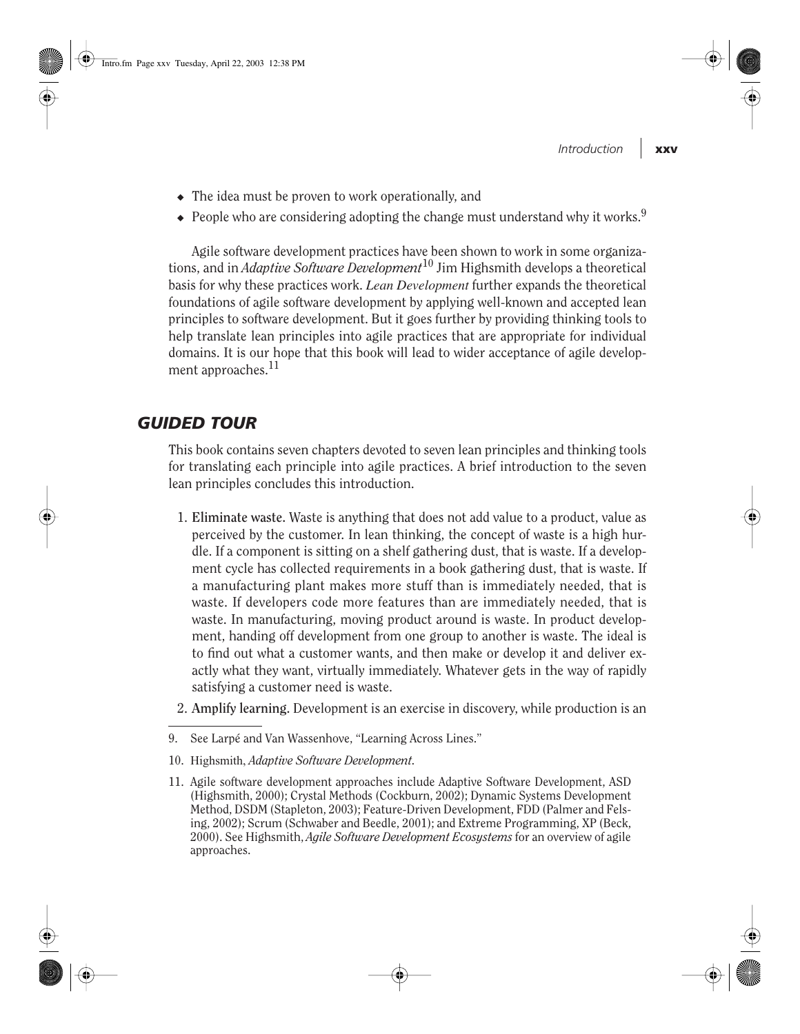- ◆ The idea must be proven to work operationally, and
- $\bullet$  People who are considering adopting the change must understand why it works.<sup>9</sup>

Agile software development practices have been shown to work in some organizations, and in *Adaptive Software Development*<sup>10</sup> Jim Highsmith develops a theoretical basis for why these practices work. *Lean Development* further expands the theoretical foundations of agile software development by applying well-known and accepted lean principles to software development. But it goes further by providing thinking tools to help translate lean principles into agile practices that are appropriate for individual domains. It is our hope that this book will lead to wider acceptance of agile development approaches.<sup>11</sup>

## *GUIDED TOUR*

This book contains seven chapters devoted to seven lean principles and thinking tools for translating each principle into agile practices. A brief introduction to the seven lean principles concludes this introduction.

- 1. **Eliminate waste.** Waste is anything that does not add value to a product, value as perceived by the customer. In lean thinking, the concept of waste is a high hurdle. If a component is sitting on a shelf gathering dust, that is waste. If a development cycle has collected requirements in a book gathering dust, that is waste. If a manufacturing plant makes more stuff than is immediately needed, that is waste. If developers code more features than are immediately needed, that is waste. In manufacturing, moving product around is waste. In product development, handing off development from one group to another is waste. The ideal is to find out what a customer wants, and then make or develop it and deliver exactly what they want, virtually immediately. Whatever gets in the way of rapidly satisfying a customer need is waste.
- 2. **Amplify learning.** Development is an exercise in discovery, while production is an
- 9. See Larpé and Van Wassenhove, "Learning Across Lines."
- 10. Highsmith, *Adaptive Software Development.*
- 11. Agile software development approaches include Adaptive Software Development, ASD (Highsmith, 2000); Crystal Methods (Cockburn, 2002); Dynamic Systems Development Method, DSDM (Stapleton, 2003); Feature-Driven Development, FDD (Palmer and Felsing, 2002); Scrum (Schwaber and Beedle, 2001); and Extreme Programming, XP (Beck, 2000). See Highsmith, *Agile Software Development Ecosystems*for an overview of agile approaches.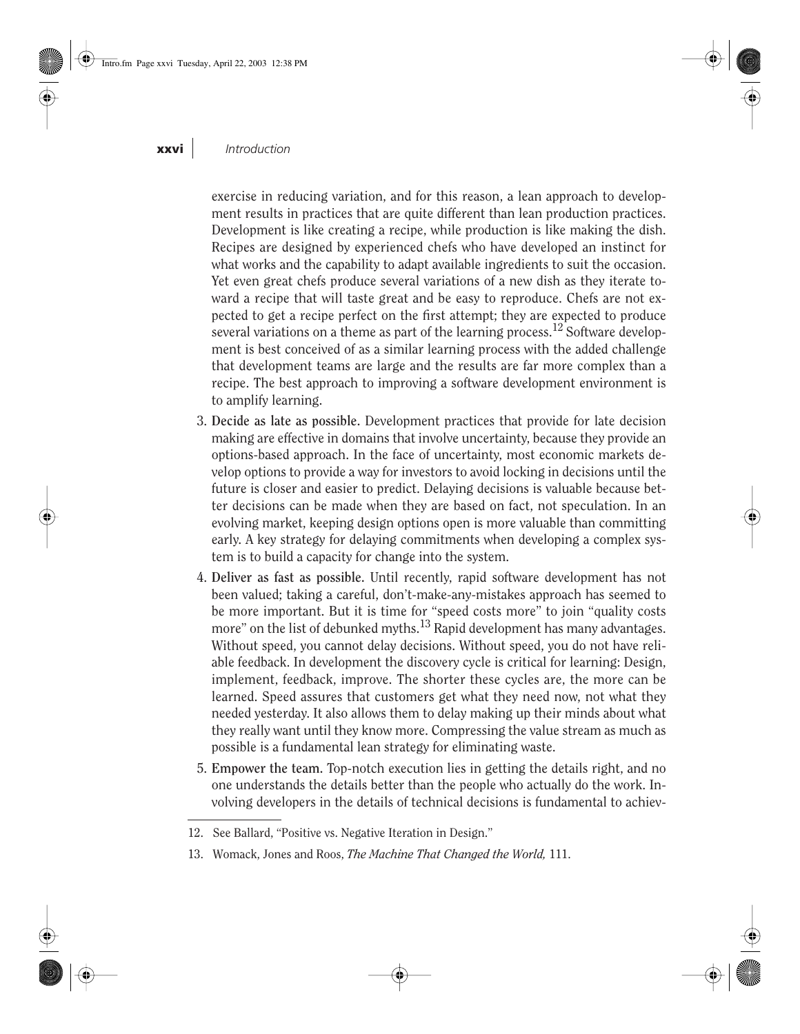### **xxvi** *Introduction*

exercise in reducing variation, and for this reason, a lean approach to development results in practices that are quite different than lean production practices. Development is like creating a recipe, while production is like making the dish. Recipes are designed by experienced chefs who have developed an instinct for what works and the capability to adapt available ingredients to suit the occasion. Yet even great chefs produce several variations of a new dish as they iterate toward a recipe that will taste great and be easy to reproduce. Chefs are not expected to get a recipe perfect on the first attempt; they are expected to produce several variations on a theme as part of the learning process.<sup>12</sup> Software development is best conceived of as a similar learning process with the added challenge that development teams are large and the results are far more complex than a recipe. The best approach to improving a software development environment is to amplify learning.

- 3. **Decide as late as possible.** Development practices that provide for late decision making are effective in domains that involve uncertainty, because they provide an options-based approach. In the face of uncertainty, most economic markets develop options to provide a way for investors to avoid locking in decisions until the future is closer and easier to predict. Delaying decisions is valuable because better decisions can be made when they are based on fact, not speculation. In an evolving market, keeping design options open is more valuable than committing early. A key strategy for delaying commitments when developing a complex system is to build a capacity for change into the system.
- 4. **Deliver as fast as possible.** Until recently, rapid software development has not been valued; taking a careful, don't-make-any-mistakes approach has seemed to be more important. But it is time for "speed costs more" to join "quality costs more" on the list of debunked myths.<sup>13</sup> Rapid development has many advantages. Without speed, you cannot delay decisions. Without speed, you do not have reliable feedback. In development the discovery cycle is critical for learning: Design, implement, feedback, improve. The shorter these cycles are, the more can be learned. Speed assures that customers get what they need now, not what they needed yesterday. It also allows them to delay making up their minds about what they really want until they know more. Compressing the value stream as much as possible is a fundamental lean strategy for eliminating waste.
- 5. **Empower the team.** Top-notch execution lies in getting the details right, and no one understands the details better than the people who actually do the work. Involving developers in the details of technical decisions is fundamental to achiev-

<sup>12.</sup> See Ballard, "Positive vs. Negative Iteration in Design."

<sup>13.</sup> Womack, Jones and Roos, *The Machine That Changed the World,* 111.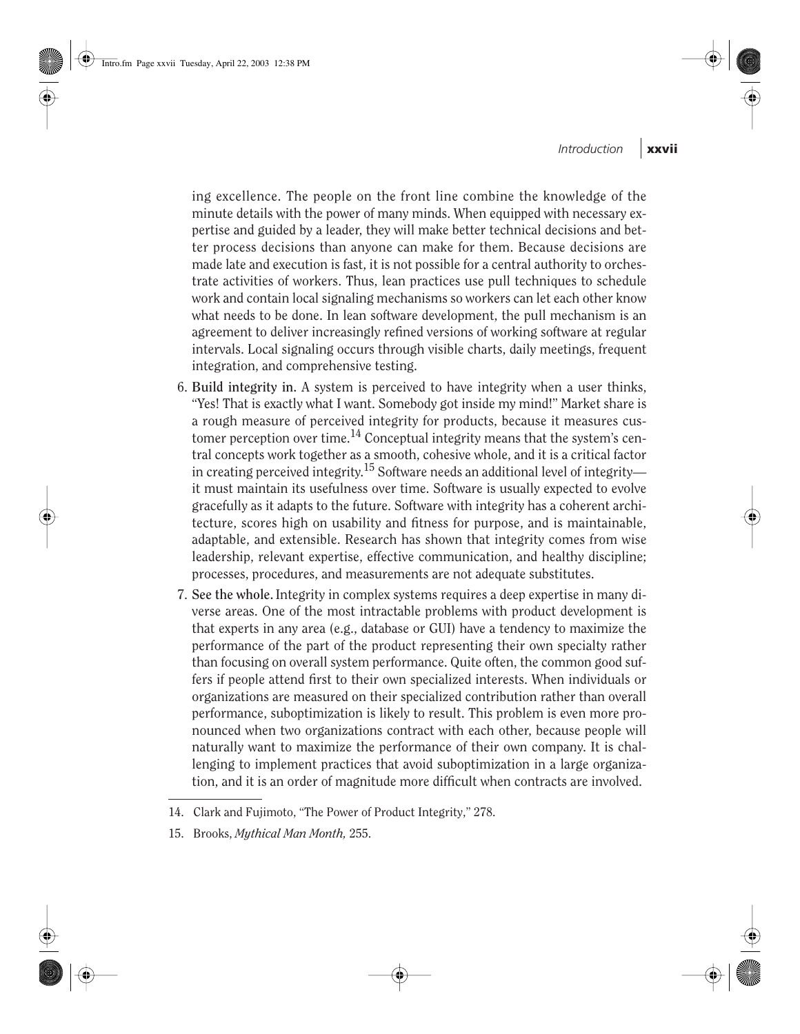ing excellence. The people on the front line combine the knowledge of the minute details with the power of many minds. When equipped with necessary expertise and guided by a leader, they will make better technical decisions and better process decisions than anyone can make for them. Because decisions are made late and execution is fast, it is not possible for a central authority to orchestrate activities of workers. Thus, lean practices use pull techniques to schedule work and contain local signaling mechanisms so workers can let each other know what needs to be done. In lean software development, the pull mechanism is an agreement to deliver increasingly refined versions of working software at regular intervals. Local signaling occurs through visible charts, daily meetings, frequent integration, and comprehensive testing.

- 6. **Build integrity in.** A system is perceived to have integrity when a user thinks, "Yes! That is exactly what I want. Somebody got inside my mind!" Market share is a rough measure of perceived integrity for products, because it measures customer perception over time.<sup>14</sup> Conceptual integrity means that the system's central concepts work together as a smooth, cohesive whole, and it is a critical factor in creating perceived integrity.<sup>15</sup> Software needs an additional level of integrity it must maintain its usefulness over time. Software is usually expected to evolve gracefully as it adapts to the future. Software with integrity has a coherent architecture, scores high on usability and fitness for purpose, and is maintainable, adaptable, and extensible. Research has shown that integrity comes from wise leadership, relevant expertise, effective communication, and healthy discipline; processes, procedures, and measurements are not adequate substitutes.
- 7. **See the whole.**Integrity in complex systems requires a deep expertise in many diverse areas. One of the most intractable problems with product development is that experts in any area (e.g., database or GUI) have a tendency to maximize the performance of the part of the product representing their own specialty rather than focusing on overall system performance. Quite often, the common good suffers if people attend first to their own specialized interests. When individuals or organizations are measured on their specialized contribution rather than overall performance, suboptimization is likely to result. This problem is even more pronounced when two organizations contract with each other, because people will naturally want to maximize the performance of their own company. It is challenging to implement practices that avoid suboptimization in a large organization, and it is an order of magnitude more difficult when contracts are involved.

<sup>14.</sup> Clark and Fujimoto, "The Power of Product Integrity," 278.

<sup>15.</sup> Brooks, *Mythical Man Month,* 255.